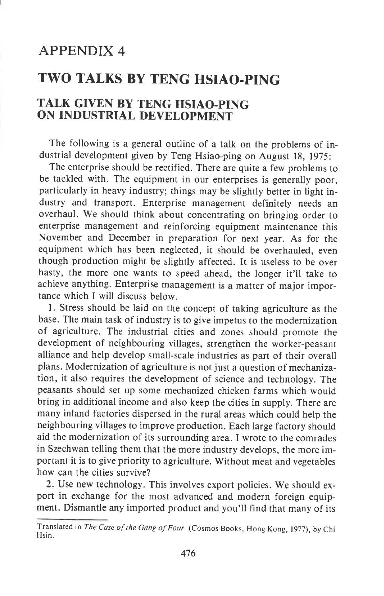## APPENDIX 4

## TWO TALKS BY TENG HSIAO.PING

## TALK GIVEN BY TENG HSIAO.PING ON INDUSTRIAL DEYELOPMENT

The following is a general outline of a talk on the problems of industrial development given by Teng Hsiao-ping on August 18, 1975:

The enterprise should be rectified. There are quite a few problems to be tackled with. The equipment in our enterprises is generally poor, particularly in heavy industry; things may be slightly better in light industry and transport. Enterprise management definitely needs an overhaul. We should think about concentrating on bringing order to enterprise management and reinforcing equipment maintenance this November and December in preparation for next year. As for the equipment which has been neglected, it should be overhauled, even though production might be slightly affected. It is useless to be over hasty, the more one wants to speed ahead, the longer it'll take to achieve anything. Enterprise management is a matter of major importance which I will discuss below.

l. Stress should be laid on the concept of taking agriculture as the base. The main task of industry is to give impetus to the modernization of agriculture. The industrial cities and zones should promote the development of neighbouring villages, strengthen the worker-peasant alliance and help develop small-scale industries as part of their overall plans. Modernization of agriculture is not just a question of mechanization, it also requires the development of science and technology. The peasants should set up some mechanized chicken farms which would bring in additional income and also keep the cities in supply, There are many inland factories dispersed in the rural areas which could help the neighbouring villages to improve production. Each large factory should aid the modernization of its surrounding area. I wrote to the comrades in Szechwan telling them that the more industry develops, the more important it is to give priority to agriculture. Without meat and vegetables how can the cities survive?

2. Use new technology, This involves export policies. We should export in exchange for the most advanced and modern foreign equipment. Dismantle any imported product and you'll find that many of its

Translated in The Case of the Gang of Four (Cosmos Books, Hong Kong, 1977), by Chi Hsin.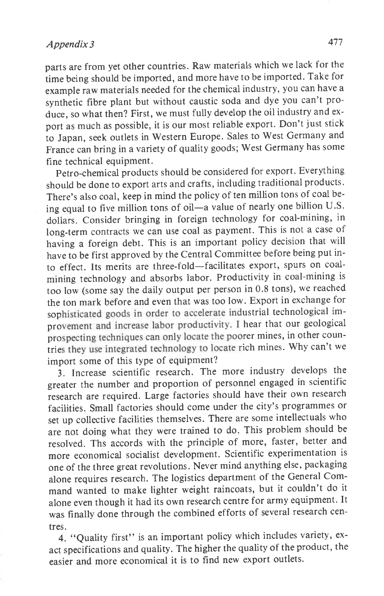parts are from yet other countries. Raw materials which we lack for the time being should be imported, and more have to be imported. Take for example raw materials needed for the chemical industry, you can have <sup>a</sup> synthetic fibre plant but without caustic soda and dye you can't produce, so what then? First, we must fully develop the oil industry and export as much as possible, it is our most reliable export. Don't just stick to Japan, seek outlets in Western Europe. Sales to West Germany and France can bring in a variety of quality goods; west Germany has some fine technical equipment.

Petro-chemical products should be considered for export. Everything should be done to export arts and crafts, including traditional products. There's also coal, keep in mind the policy of ten million tons of coal being equal to five million tons of oil—a value of nearly one billion U.S. dollars. Consider bringing in foreign technology for coal-mining, in long-term contracts we can use coal as payment. This is not a case of having a foreign debt. This is an important policy decision that will have to be first approved by the Central Committee before being put into effect. Its merits are three-fold-facilitates export, spurs on coalmining technology and absorbs labor. Productivity in coal-mining is too low (some say the daily output per person in 0.8 tons), we reached the ton mark before and even that was too low. Export in exchange for sophisticated goods in order to accelerate industrial technological improvement and increase labor productivity. I hear that our geological prospecting techniques can only locate the poorer mines, in other countries they use integrated technology to locate rich mines. Why can't we import some of this type of equipment?

3. Increase scientific research. The more industry develops the greater the number and proportion of personnel engaged in scientific research are required. Large factories should have their own research facilities. Small factories should come under the city's programmes or set up collective facilities themselves. There are some intellectuals who are not doing what they were trained to do. This problem should be resolved. Ths accords with the principle of more, faster, better and more economical socialist development. Scientific experimentation is one of the three great revolutions. Never mind anything else, packaging alone requires research. The logistics department of the General command wanted to make lighter weight raincoats, but it couldn't do it alone even though it had its own research centre for army equipment. It was finally done through the combined efforts of several research centres.

4. "Quality first" is an important policy which includes variety, exact specifications and quality. The higher the quality of the product, the easier and more economical it is to find new export outlets.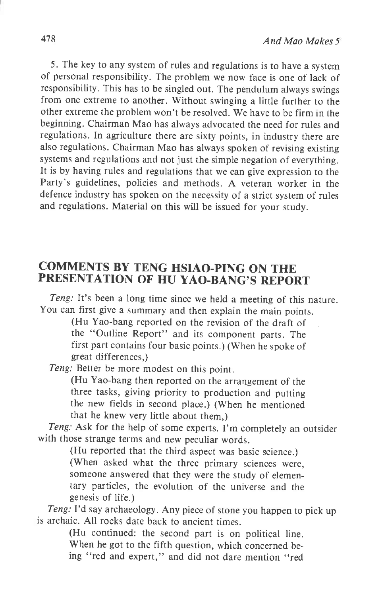5. The key to any system of rules and regulations is to have a system of personal responsibility. The problem we now face is one of lack of responsibility. This has to be singled out. The pendulum always swings from one extreme to another. Without swinging a little further to the other extreme the problem won't be resolved. We have to be firm in the beginning. Chairman Mao has always advocated the need for rules and regulations. In agriculture there are sixty points, in industry there are also regulations. Chairman Mao has always spoken of revising existing systems and regulations and not just the simple negation of everything. It is by having rules and regulations that we can give expression to the Party's guidelines, policies and methods. A veteran worker in the defence industry has spoken on the necessity of a strict system of rules and regulations. Material on this will be issued for your study.

## COMMENTS BY TENG HSIAO.PING ON THE PRESENTATION OF HU YAO.BANG'S REPORT

Teng: It's been a long time since we held a meeting of this nature. You can first give a summary and then explain the main points.

(Hu Yao-bang reported on the revision of the draft of the "Outline Report" and its component parts. The first part contains four basic points.) (When he spoke of great differences,)

Teng: Better be more modest on this point.

(Hu Yao-bang then reported on the arrangement of the three tasks, giving priority to production and putting the new fields in second place.) (When he mentioned that he knew very little about them,)

Teng: Ask for the help of some experts. I'm completely an outsider with those strange terms and new peculiar words.

(Hu reported that the third aspect was basic science.) (When asked what the three primary sciences were, someone answered that they were the study of elementary particles, the evolution of the universe and the genesis of life.)

Teng: l'd say archaeology. Any piece of stone you happen to pick up is archaic. All rocks date back to ancient times.

(Hu continued: the second part is on political line. When he got to the fifth question, which concerned being "red and expert," and did not dare mention "red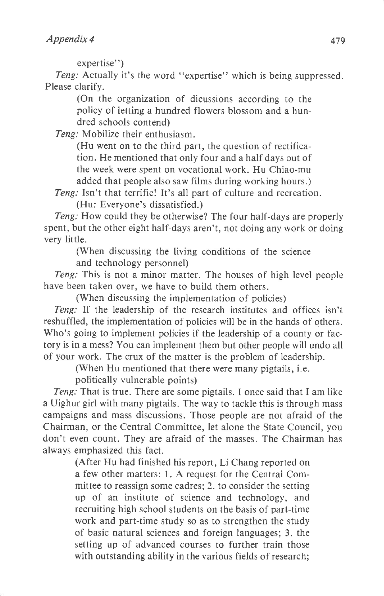expertise")

Teng: Actually it's the word "expertise" which is being suppressed. Please clarify.

> (On the organization of dicussions according to the policy of letting a hundred flowers blossom and a hundred schools contend)

Teng: Mobilize their enthusiasm.

(Hu went on to the third part, the question of rectification. He mentioned that only four and a half days out of the week were spent on vocational work. Hu Chiao-mu added that people also saw films during working hours.)

Teng: lsn't that terrific! It's all part of culture and recreation.

(Hu: Everyone's dissatisfied.)

Teng: How could they be otherwise? The four half-days are properly spent, but the other eight half-days aren't, not doing any work or doing very little.

> (When discussing the living conditions of the science and technology personnel)

Teng: This is not a minor matter. The houses of high level people have been taken over, we have to build them others.

(When discussing the implementation of policies)

Teng: If the leadership of the research institutes and offices isn't reshuffled, the implementation of policies will be in the hands of others. Who's going to implement policies if the leadership of a county or factory is in a mess? You can implement them but other people will undo all of your work. The crux of the matter is the problem of leadership.

(When Hu mentioned that there were many pigtails, i.e.

politically vulnerable points)

Teng: That is true. There are some pigtails. I once said that I am like a Uighur girl with many pigtails. The way to tackle this is through mass campaigns and mass discussions. Those people are not afraid of the Chairman, or the Central Committee, let alone the State Council, you don't even count. They are afraid of the masses. The Chairman has always emphasized this fact.

> (After Hu had finished his report, Li Chang reported on a few other matters: l. A request for the Central Committee to reassign some cadres; 2. to consider the setting up of an institute of science and technology, and recruiting high school students on the basis of part-time work and part-time study so as to strengthen the study of basic natural sciences and foreign languages; 3. the setting up of advanced courses to further train those with outstanding ability in the various fields of research;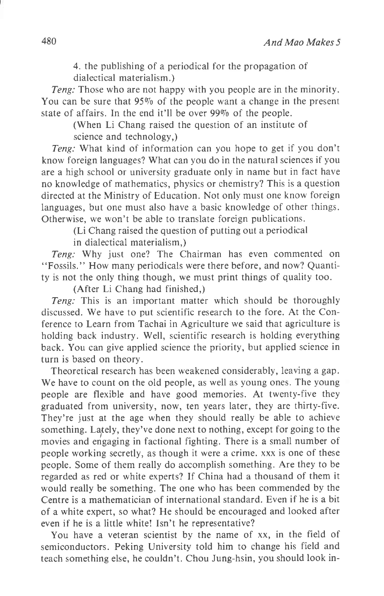4. the publishing of a periodical for the propagation of dialectical materialism.)

Teng: Those who are not happy with you people are in the minority. You can be sure that 95% of the people want a change in the present state of affairs. In the end it'll be over  $99\%$  of the people.

> (When Li Chang raised the question of an institute of science and technology,)

Teng: What kind of information can you hope to get if you don't know foreign languages? What can you do in the natural sciences if you are a high school or university graduate only in name but in fact have no knowledge of mathematics, physics or chemistry? This is a question directed at the Ministry of Education. Not only must one know foreign languages, but one must also have a basic knowledge of other things. Otherwise, we won't be able to translate foreign publications.

(Li Chang raised the question of putting out a periodical

in dialectical materialism,)

Teng: Why just one? The Chairman has even commented on "Fossils." How many periodicals were there before, and now? Quantity is not the only thing though, we must print things of quality too.

(After Li Chang had finished,)

Teng: This is an important matter which should be thoroughly discussed. We have to put scientific research to the fore. At the Conference to Learn from Tachai in Agriculture we said that agriculture is holding back industry. Well, scientific research is holding everything back. You can give applied science the priority, but applied science in turn is based on theory.

Theoretical research has been weakened considerably, leaving a gap, We have to count on the old people, as well as young ones. The young people are flexible and have good memories. At twenty-five they graduated from university, now, ten years later, they are thirty-five. They're just at the age when they should really be able to achieve something. Lately, they've done next to nothing, except for going to the movies and engaging in factional fighting. There is a small number of people working secretly, as though it were a crime. xxx is one of these people. Some of them really do accomplish something. Are they to be regarded as red or white experts? If China had a thousand of them it would really be something. The one who has been commended by the Centre is a mathematician of international standard. Even if he is a bit of a white expert, so what? He should be encouraged and looked after even if he is a little white! Isn't he representative?

You have a veteran scientist by the name of xx, in the field of semiconductors. Peking University told him to change his field and teach something else, he couldn't. Chou Jung-hsin, you should look in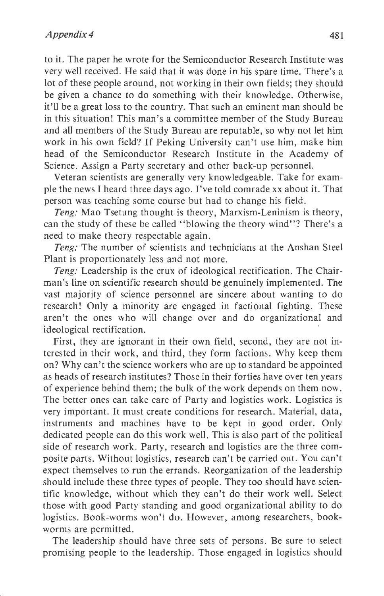to it. The paper he wrote for the Semiconductor Research Institute was very well received. He said that it was done in his spare time. There's a lot of these people around, not working in their own fields; they should be given a chance to do something with their knowledge. Otherwise, it'll be a great loss to the country. That such an eminent man should be in this situation! This man's a committee member of the Study Bureau and all members of the Study Bureau are reputable, so why not let him work in his own field? If Peking University can't use him, make him head of the Semiconductor Research Institute in the Academy of Science. Assign a Party secretary and other back-up personnel.

Veteran scientists are generally very knowledgeable. Take for example the news I heard three days ago. I've told comrade xx about it. That person was teaching some course but had to change his field.

Teng: Mao Tsetung thought is theory, Marxism-Leninism is theory, can the study of these be called "blowing the theory wind"? There's a need to make theory respectable again.

Teng: The number of scientists and technicians at the Anshan Steel Plant is proportionately less and not more.

Teng: Leadership is the crux of ideological rectification. The Chairman's line on scientific research should be genuinely implemented. The vast majority of science personnel are sincere about wanting to do research! Only a minority are engaged in factional fighting. These aren't the ones who will change over and do organizational and ideological rectification

First, they are ignorant in their own field, second, they are not interested in their work, and third, they form factions. Why keep them on? Why can't the science workers who are up to standard be appointed as heads of research institutes? Those in their forties have over ten years of experience behind them; the bulk of the work depends on them now. The better ones can take care of Party and logistics work. Logistics is very important. It must create conditions for research. Material, data, instruments and machines have to be kept in good order. Only dedicated people can do this work well. This is also part of the political side of research work. Party, research and logistics are the three composite parts. Without logistics, research can't be carried out. You can't expect themselves to run the errands. Reorganization of the leadership should include these three types of people. They too should have scientific knowledge, without which they can't do their work well. Select those with good Party standing and good organizational ability to do logistics. Book-worms won't do. However, among researchers, bookworms are permitted.

The leadership should have three sets of persons. Be sure to select promising people to the leadership. Those engaged in logistics should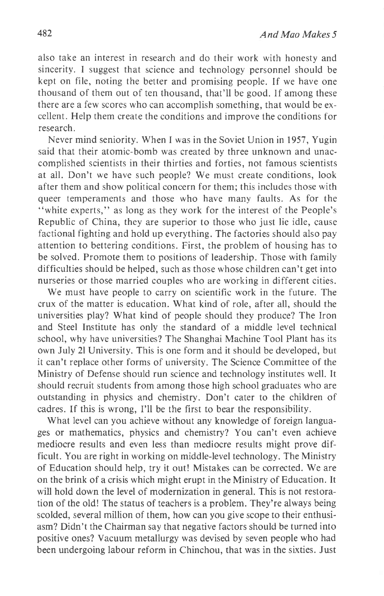also take an interest in research and do their work with honesty and sincerity. I suggest that science and technology personnel should be kept on file, noting the better and promising people. If we have one thousand of them out of ten thousand, that'll be good. lf among these there are a few scores who can accomplish something, that would be excellent. Help them create the conditions and improve the conditions for research.

Never mind seniority. When I was in the Soviet Union in 1957, Yugin said that their atomic-bomb was created by three unknown and unaccomplished scientists in their thirties and forties, not famous scientists at all. Don't we have such people? We must create conditions, look after them and show political concern for thern; this includes those with queer temperaments and those who have many faults. As for the "white experts," as long as they work for the interest of the People's Republic of China, they are superior to those who just lie idle, cause factional fighting and hold up everything. The factories should also pay attention to bettering conditions. First, the problem of housing has to be solved. Promote them to positions of leadership. Those with family difficulties should be helped, such as those whose children can't get into nurseries or those married couples who are working in different cities.

We must have people to carry on scientific work in the future. The crux of the matter is education. What kind of role, after all, should the universities play? What kind of people should they produce? The lron and Steel Institute has only the standard of a middle level technical school, why have universities? The Shanghai Machine Tool Plant has its own July 2l University. This is one form and it should be developed, but it can't replace other forms of university. The Science Committee of the Ministry of Defense should run science and technology institutes well. It should recruit students from among those high school graduates who are outstanding in physics and chemistry. Don't cater to the children of cadres. If this is wrong, I'll be the first to bear the responsibility.

What level can you achieve without any knowledge of foreign languages or mathematics, physics and chemistry? You can't even achieve mediocre results and even less than mediocre results might prove difficult. You are right in working on middle-level technology. The Ministry of Education should help, try it out! Mistakes can be corrected. We are on the brink of a crisis which might erupt in the Ministry of Education. It will hold down the level of modernization in general. This is not restoration of the old! The status of teachers is a problem. They're always being scolded, several million of them, how can you give scope to their enthusiasm? Didn't the Chairman say that negative factors should be turned into positive ones? Vacuum metaliurgy was devised by seven people who had been undergoing labour reform in Chinchou, that was in the sixties. Just